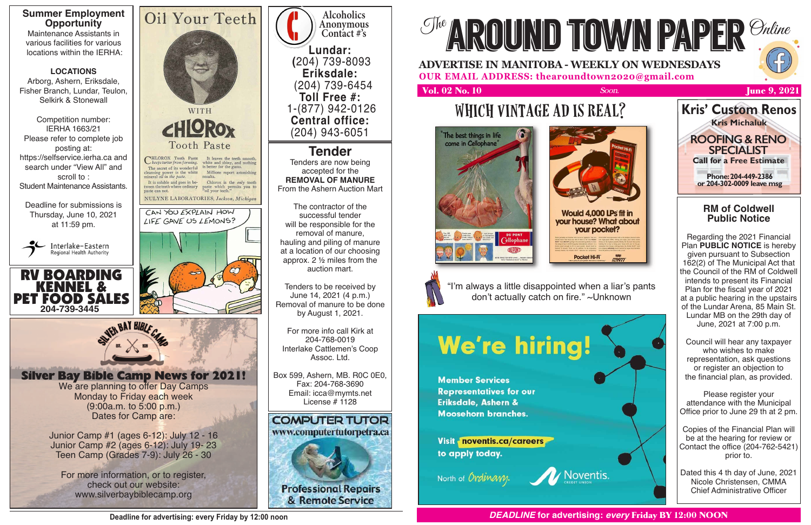

**Alcoholics Anonymous Contact #'s Lundar: (**204) 739-8093 **Eriksdale:**  (204) 739-6454 **Toll Free #:**  1-(877) 942-0126 **Central office:**  (204) 943-6051

**Tender** Tenders are now being accepted for the **REMOVAL OF MANURE** From the Ashern Auction Mart

The contractor of the successful tender will be responsible for the removal of manure, hauling and piling of manure at a location of our choosing approx. 2 ½ miles from the auction mart.

Tenders to be received by June 14, 2021 (4 p.m.) Removal of manure to be done by August 1, 2021.

For more info call Kirk at 204-768-0019 Interlake Cattlemen's Coop Assoc. Ltd.

Box 599, Ashern, MB. R0C 0E0, Fax: 204-768-3690 Email: icca@mymts.net License # 1128